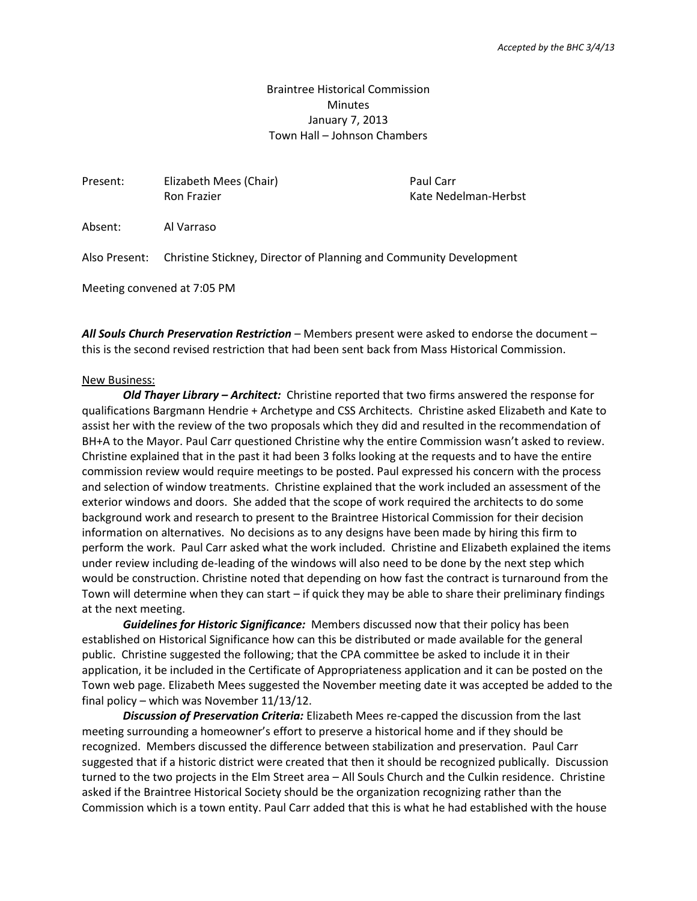## Braintree Historical Commission **Minutes** January 7, 2013 Town Hall – Johnson Chambers

| Present: | Elizabeth Mees (Chair)<br>Ron Frazier                                            | Paul Carr<br>Kate Nedelman-Herbst |
|----------|----------------------------------------------------------------------------------|-----------------------------------|
|          |                                                                                  |                                   |
| Absent:  | Al Varraso                                                                       |                                   |
|          | Also Present: Christine Stickney, Director of Planning and Community Development |                                   |

Meeting convened at 7:05 PM

*All Souls Church Preservation Restriction* – Members present were asked to endorse the document – this is the second revised restriction that had been sent back from Mass Historical Commission.

## New Business:

*Old Thayer Library – Architect:* Christine reported that two firms answered the response for qualifications Bargmann Hendrie + Archetype and CSS Architects. Christine asked Elizabeth and Kate to assist her with the review of the two proposals which they did and resulted in the recommendation of BH+A to the Mayor. Paul Carr questioned Christine why the entire Commission wasn't asked to review. Christine explained that in the past it had been 3 folks looking at the requests and to have the entire commission review would require meetings to be posted. Paul expressed his concern with the process and selection of window treatments. Christine explained that the work included an assessment of the exterior windows and doors. She added that the scope of work required the architects to do some background work and research to present to the Braintree Historical Commission for their decision information on alternatives. No decisions as to any designs have been made by hiring this firm to perform the work. Paul Carr asked what the work included. Christine and Elizabeth explained the items under review including de-leading of the windows will also need to be done by the next step which would be construction. Christine noted that depending on how fast the contract is turnaround from the Town will determine when they can start – if quick they may be able to share their preliminary findings at the next meeting.

*Guidelines for Historic Significance:* Members discussed now that their policy has been established on Historical Significance how can this be distributed or made available for the general public. Christine suggested the following; that the CPA committee be asked to include it in their application, it be included in the Certificate of Appropriateness application and it can be posted on the Town web page. Elizabeth Mees suggested the November meeting date it was accepted be added to the final policy – which was November 11/13/12.

*Discussion of Preservation Criteria:* Elizabeth Mees re-capped the discussion from the last meeting surrounding a homeowner's effort to preserve a historical home and if they should be recognized. Members discussed the difference between stabilization and preservation. Paul Carr suggested that if a historic district were created that then it should be recognized publically. Discussion turned to the two projects in the Elm Street area – All Souls Church and the Culkin residence. Christine asked if the Braintree Historical Society should be the organization recognizing rather than the Commission which is a town entity. Paul Carr added that this is what he had established with the house